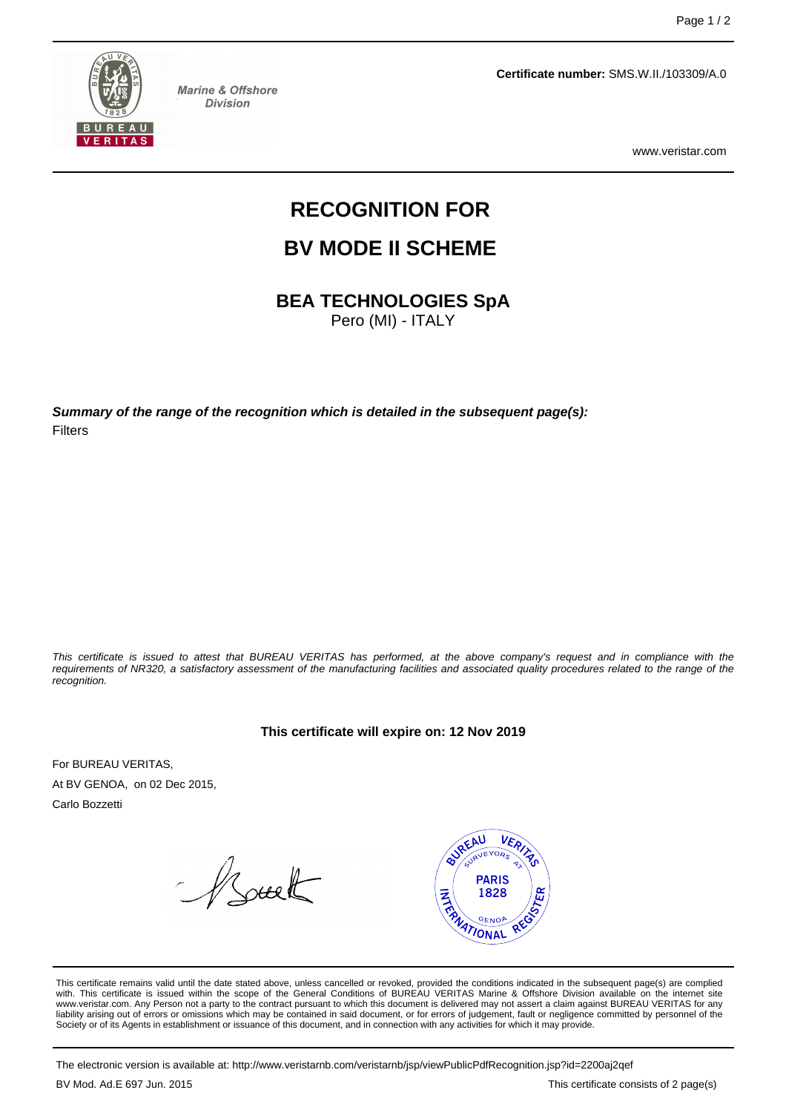

**Marine & Offshore Division** 

**Certificate number:** SMS.W.II./103309/A.0

www.veristar.com

# **RECOGNITION FOR**

## **BV MODE II SCHEME**

**BEA TECHNOLOGIES SpA**

Pero (MI) - ITALY

**Summary of the range of the recognition which is detailed in the subsequent page(s):** Filters

This certificate is issued to attest that BUREAU VERITAS has performed, at the above company's request and in compliance with the requirements of NR320, a satisfactory assessment of the manufacturing facilities and associated quality procedures related to the range of the recognition.

**This certificate will expire on: 12 Nov 2019**

For BUREAU VERITAS, At BV GENOA, on 02 Dec 2015,

Carlo Bozzetti

Asuelt



This certificate remains valid until the date stated above, unless cancelled or revoked, provided the conditions indicated in the subsequent page(s) are complied with. This certificate is issued within the scope of the General Conditions of BUREAU VERITAS Marine & Offshore Division available on the internet site www.veristar.com. Any Person not a party to the contract pursuant to which this document is delivered may not assert a claim against BUREAU VERITAS for any liability arising out of errors or omissions which may be contained in said document, or for errors of judgement, fault or negligence committed by personnel of the<br>Society or of its Agents in establishment or issuance of t